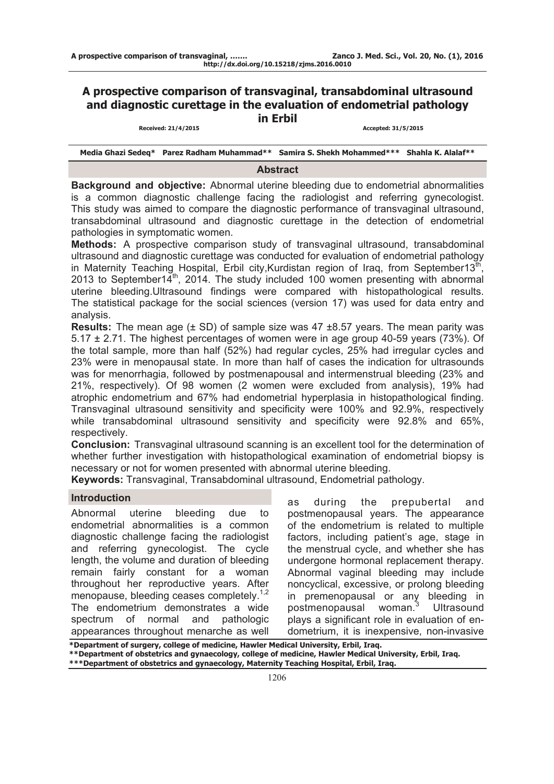# **A prospective comparison of transvaginal, transabdominal ultrasound and diagnostic curettage in the evaluation of endometrial pathology in Erbil**

#### **Received: 21/4/2015 Accepted: 31/5/2015**

**Media Ghazi Sedeq\* Parez Radham Muhammad\*\* Samira S. Shekh Mohammed\*\*\* Shahla K. Alalaf\*\*** 

### **Abstract**

**Background and objective:** Abnormal uterine bleeding due to endometrial abnormalities is a common diagnostic challenge facing the radiologist and referring gynecologist. This study was aimed to compare the diagnostic performance of transvaginal ultrasound, transabdominal ultrasound and diagnostic curettage in the detection of endometrial pathologies in symptomatic women.

**Methods:** A prospective comparison study of transvaginal ultrasound, transabdominal ultrasound and diagnostic curettage was conducted for evaluation of endometrial pathology in Maternity Teaching Hospital, Erbil city, Kurdistan region of Iraq, from September13<sup>th</sup> 2013 to September14<sup>th</sup>, 2014. The study included 100 women presenting with abnormal uterine bleeding.Ultrasound findings were compared with histopathological results. The statistical package for the social sciences (version 17) was used for data entry and analysis.

**Results:** The mean age (± SD) of sample size was 47 ±8.57 years. The mean parity was 5.17 ± 2.71. The highest percentages of women were in age group 40-59 years (73%). Of the total sample, more than half (52%) had regular cycles, 25% had irregular cycles and 23% were in menopausal state. In more than half of cases the indication for ultrasounds was for menorrhagia, followed by postmenapousal and intermenstrual bleeding (23% and 21%, respectively). Of 98 women (2 women were excluded from analysis), 19% had atrophic endometrium and 67% had endometrial hyperplasia in histopathological finding. Transvaginal ultrasound sensitivity and specificity were 100% and 92.9%, respectively while transabdominal ultrasound sensitivity and specificity were 92.8% and 65%, respectively.

**Conclusion:** Transvaginal ultrasound scanning is an excellent tool for the determination of whether further investigation with histopathological examination of endometrial biopsy is necessary or not for women presented with abnormal uterine bleeding.

**Keywords:** Transvaginal, Transabdominal ultrasound, Endometrial pathology.

### **Introduction**

Abnormal uterine bleeding due to endometrial abnormalities is a common diagnostic challenge facing the radiologist and referring gynecologist. The cycle length, the volume and duration of bleeding remain fairly constant for a woman throughout her reproductive years. After menopause, bleeding ceases completely.<sup>1,2</sup> The endometrium demonstrates a wide spectrum of normal and pathologic appearances throughout menarche as well as during the prepubertal and postmenopausal years. The appearance of the endometrium is related to multiple factors, including patient's age, stage in the menstrual cycle, and whether she has undergone hormonal replacement therapy. Abnormal vaginal bleeding may include noncyclical, excessive, or prolong bleeding in premenopausal or any bleeding in postmenopausal woman.<sup>3</sup> **Ultrasound** plays a significant role in evaluation of endometrium, it is inexpensive, non-invasive

**\*Department of surgery, college of medicine, Hawler Medical University, Erbil, Iraq. \*\*Department of obstetrics and gynaecology, college of medicine, Hawler Medical University, Erbil, Iraq. \*\*\*Department of obstetrics and gynaecology, Maternity Teaching Hospital, Erbil, Iraq.**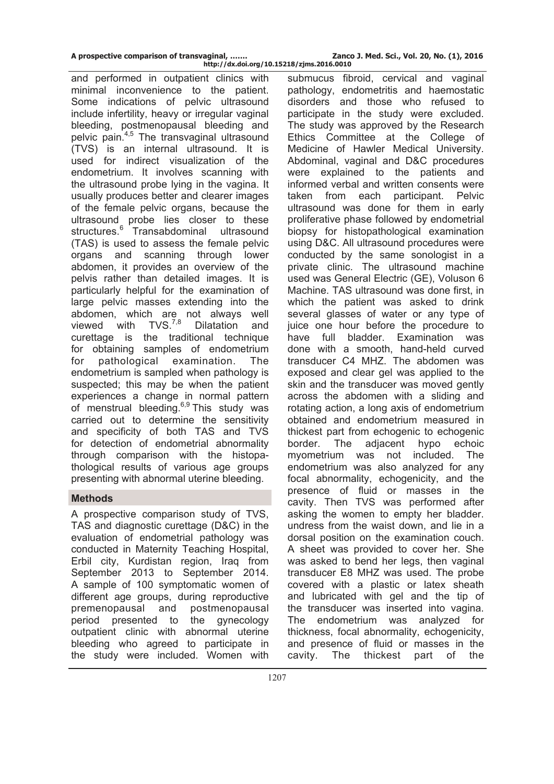and performed in outpatient clinics with minimal inconvenience to the patient. Some indications of pelvic ultrasound include infertility, heavy or irregular vaginal bleeding, postmenopausal bleeding and pelvic pain.<sup>4,5</sup> The transvaginal ultrasound (TVS) is an internal ultrasound. It is used for indirect visualization of the endometrium. It involves scanning with the ultrasound probe lying in the vagina. It usually produces better and clearer images of the female pelvic organs, because the ultrasound probe lies closer to these structures.<sup>6</sup> Transabdominal ultrasound (TAS) is used to assess the female pelvic organs and scanning through lower abdomen, it provides an overview of the pelvis rather than detailed images. It is particularly helpful for the examination of large pelvic masses extending into the abdomen, which are not always well viewed with  $TVS^{7,8}$  Dilatation and curettage is the traditional technique for obtaining samples of endometrium for pathological examination. The endometrium is sampled when pathology is suspected; this may be when the patient experiences a change in normal pattern of menstrual bleeding. $6,9$  This study was carried out to determine the sensitivity and specificity of both TAS and TVS for detection of endometrial abnormality through comparison with the histopathological results of various age groups presenting with abnormal uterine bleeding.

## **Methods**

A prospective comparison study of TVS, TAS and diagnostic curettage (D&C) in the evaluation of endometrial pathology was conducted in Maternity Teaching Hospital, Erbil city, Kurdistan region, Iraq from September 2013 to September 2014. A sample of 100 symptomatic women of different age groups, during reproductive premenopausal and postmenopausal period presented to the gynecology outpatient clinic with abnormal uterine bleeding who agreed to participate in the study were included. Women with

**http://dx.doi.org/10.15218/zjms.2016.0010** submucus fibroid, cervical and vaginal pathology, endometritis and haemostatic disorders and those who refused to participate in the study were excluded. The study was approved by the Research Ethics Committee at the College of Medicine of Hawler Medical University. Abdominal, vaginal and D&C procedures were explained to the patients and informed verbal and written consents were taken from each participant. Pelvic ultrasound was done for them in early proliferative phase followed by endometrial biopsy for histopathological examination using D&C. All ultrasound procedures were conducted by the same sonologist in a private clinic. The ultrasound machine used was General Electric (GE), Voluson 6 Machine. TAS ultrasound was done first, in which the patient was asked to drink several glasses of water or any type of juice one hour before the procedure to have full bladder. Examination was done with a smooth, hand-held curved transducer C4 MHZ. The abdomen was exposed and clear gel was applied to the skin and the transducer was moved gently across the abdomen with a sliding and rotating action, a long axis of endometrium obtained and endometrium measured in thickest part from echogenic to echogenic border. The adjacent hypo echoic myometrium was not included. The endometrium was also analyzed for any focal abnormality, echogenicity, and the presence of fluid or masses in the cavity. Then TVS was performed after asking the women to empty her bladder. undress from the waist down, and lie in a dorsal position on the examination couch. A sheet was provided to cover her. She was asked to bend her legs, then vaginal transducer E8 MHZ was used. The probe covered with a plastic or latex sheath and lubricated with gel and the tip of the transducer was inserted into vagina. The endometrium was analyzed for thickness, focal abnormality, echogenicity, and presence of fluid or masses in the cavity. The thickest part of the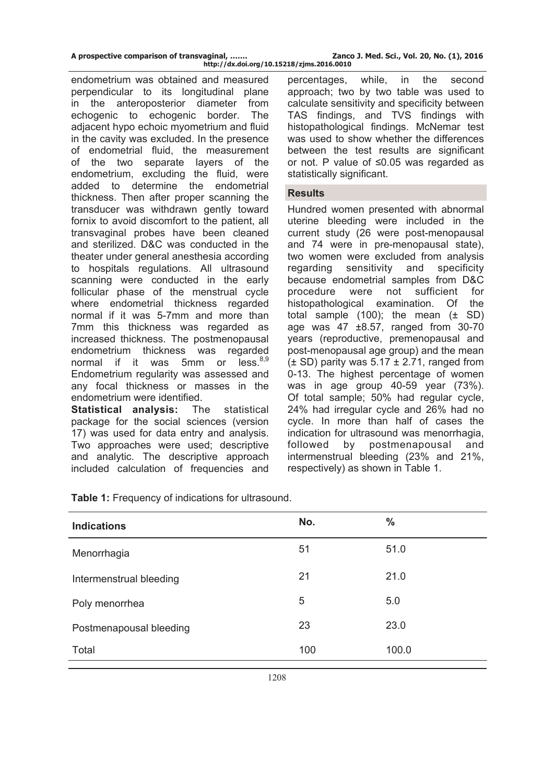| A prospective comparison of transvaginal, | Zanco J. Med. Sci., Vol. 20, No. (1), 2016 |
|-------------------------------------------|--------------------------------------------|
| http://dx.doi.org/10.15218/zjms.2016.0010 |                                            |

endometrium was obtained and measured perpendicular to its longitudinal plane in the anteroposterior diameter from echogenic to echogenic border. The adjacent hypo echoic myometrium and fluid in the cavity was excluded. In the presence of endometrial fluid, the measurement of the two separate layers of the endometrium, excluding the fluid, were added to determine the endometrial thickness. Then after proper scanning the transducer was withdrawn gently toward fornix to avoid discomfort to the patient, all transvaginal probes have been cleaned and sterilized. D&C was conducted in the theater under general anesthesia according to hospitals regulations. All ultrasound scanning were conducted in the early follicular phase of the menstrual cycle where endometrial thickness regarded normal if it was 5-7mm and more than 7mm this thickness was regarded as increased thickness. The postmenopausal endometrium thickness was regarded<br>normal if it was 5mm or less 8,9 normal if it was 5mm or Endometrium regularity was assessed and any focal thickness or masses in the endometrium were identified.

**Statistical analysis:** The statistical package for the social sciences (version 17) was used for data entry and analysis. Two approaches were used; descriptive and analytic. The descriptive approach included calculation of frequencies and

percentages, while, in the second approach; two by two table was used to calculate sensitivity and specificity between TAS findings, and TVS findings with histopathological findings. McNemar test was used to show whether the differences between the test results are significant or not. P value of ≤0.05 was regarded as statistically significant.

### **Results**

Hundred women presented with abnormal uterine bleeding were included in the current study (26 were post-menopausal and 74 were in pre-menopausal state), two women were excluded from analysis regarding sensitivity and specificity because endometrial samples from D&C procedure were not sufficient for histopathological examination. Of the total sample  $(100)$ ; the mean  $(\pm$  SD) age was 47 ±8.57, ranged from 30-70 years (reproductive, premenopausal and post-menopausal age group) and the mean  $(\pm$  SD) parity was 5.17  $\pm$  2.71, ranged from 0-13. The highest percentage of women was in age group 40-59 year (73%). Of total sample; 50% had regular cycle, 24% had irregular cycle and 26% had no cycle. In more than half of cases the indication for ultrasound was menorrhagia, followed by postmenapousal and intermenstrual bleeding (23% and 21%, respectively) as shown in Table 1.

| <b>Indications</b>      | No. | $\frac{0}{0}$ |
|-------------------------|-----|---------------|
| Menorrhagia             | 51  | 51.0          |
| Intermenstrual bleeding | 21  | 21.0          |
| Poly menorrhea          | 5   | 5.0           |
| Postmenapousal bleeding | 23  | 23.0          |
| Total                   | 100 | 100.0         |
|                         |     |               |

**Table 1:** Frequency of indications for ultrasound.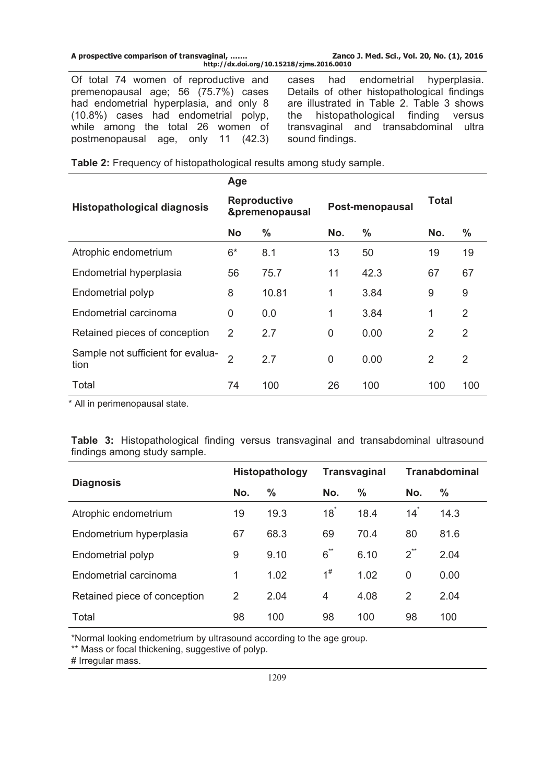| A prospective comparison of transvaginal, | Zanco                                     |
|-------------------------------------------|-------------------------------------------|
|                                           | http://dx.doi.org/10.15218/zjms.2016.0010 |

Of total 74 women of reproductive and premenopausal age; 56 (75.7%) cases had endometrial hyperplasia, and only 8 (10.8%) cases had endometrial polyp, while among the total 26 women of postmenopausal age, only 11 (42.3)

cases had endometrial hyperplasia. Details of other histopathological findings are illustrated in Table 2. Table 3 shows the histopathological finding versus transvaginal and transabdominal ultra sound findings.

|  |  | Table 2: Frequency of histopathological results among study sample. |
|--|--|---------------------------------------------------------------------|
|--|--|---------------------------------------------------------------------|

|                                           | Age                                   |               |                 |               |                |                |
|-------------------------------------------|---------------------------------------|---------------|-----------------|---------------|----------------|----------------|
| <b>Histopathological diagnosis</b>        | <b>Reproductive</b><br>&premenopausal |               | Post-menopausal |               | Total          |                |
|                                           | <b>No</b>                             | $\frac{0}{0}$ | No.             | $\frac{0}{0}$ | No.            | %              |
| Atrophic endometrium                      | $6*$                                  | 8.1           | 13              | 50            | 19             | 19             |
| Endometrial hyperplasia                   | 56                                    | 75.7          | 11              | 42.3          | 67             | 67             |
| Endometrial polyp                         | 8                                     | 10.81         | 1               | 3.84          | 9              | 9              |
| Endometrial carcinoma                     | $\Omega$                              | 0.0           | 1               | 3.84          | 1              | 2              |
| Retained pieces of conception             | 2                                     | 2.7           | 0               | 0.00          | 2              | 2              |
| Sample not sufficient for evalua-<br>tion | $\overline{2}$                        | 2.7           | 0               | 0.00          | $\overline{2}$ | $\overline{2}$ |
| Total                                     | 74                                    | 100           | 26              | 100           | 100            | 100            |

\* All in perimenopausal state.

|  | <b>Table 3:</b> Histopathological finding versus transvaginal and transabdominal ultrasound |  |  |  |
|--|---------------------------------------------------------------------------------------------|--|--|--|
|  | findings among study sample.                                                                |  |  |  |

|                              | <b>Histopathology</b> |      | <b>Transvaginal</b> |      | <b>Tranabdominal</b> |      |
|------------------------------|-----------------------|------|---------------------|------|----------------------|------|
| <b>Diagnosis</b>             | No.                   | %    | No.                 | $\%$ | No.                  | %    |
| Atrophic endometrium         | 19                    | 19.3 | $18*$               | 18.4 | 14 <sup>°</sup>      | 14.3 |
| Endometrium hyperplasia      | 67                    | 68.3 | 69                  | 70.4 | 80                   | 81.6 |
| Endometrial polyp            | 9                     | 9.10 | $6^{**}$            | 6.10 | $2^{\ast\ast}$       | 2.04 |
| Endometrial carcinoma        | 1                     | 1.02 | $1^{\#}$            | 1.02 | 0                    | 0.00 |
| Retained piece of conception | 2                     | 2.04 | 4                   | 4.08 | $\overline{2}$       | 2.04 |
| Total                        | 98                    | 100  | 98                  | 100  | 98                   | 100  |

\*Normal looking endometrium by ultrasound according to the age group.

\*\* Mass or focal thickening, suggestive of polyp.

# Irregular mass.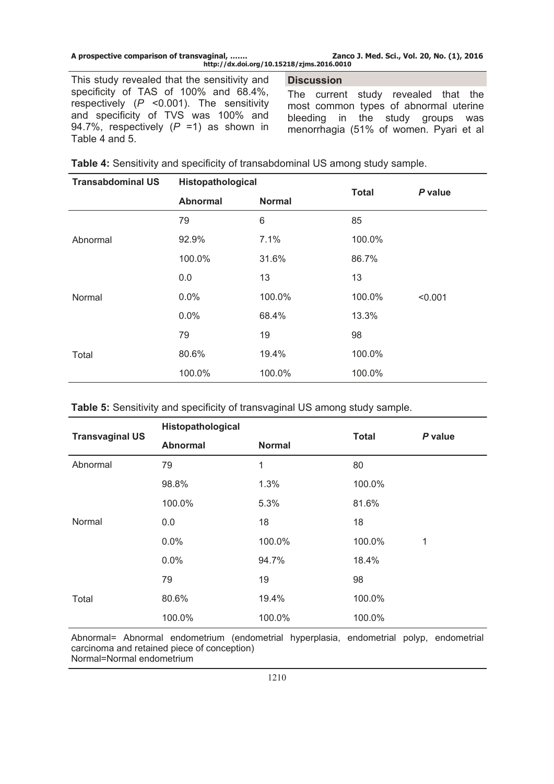|  | A prospective comparison of transvaginal, |  |
|--|-------------------------------------------|--|
|  |                                           |  |

Zanco J. Med. Sci., Vol. 20, No. (1), 2016 **http://dx.doi.org/10.15218/zjms.2016.0010**

This study revealed that the sensitivity and specificity of TAS of 100% and 68.4%, respectively (*P* <0.001). The sensitivity and specificity of TVS was 100% and 94.7%, respectively (*P* =1) as shown in Table 4 and 5.

**Discussion** 

The current study revealed that the most common types of abnormal uterine bleeding in the study groups was menorrhagia (51% of women. Pyari et al

|  | Table 4: Sensitivity and specificity of transabdominal US among study sample. |
|--|-------------------------------------------------------------------------------|
|--|-------------------------------------------------------------------------------|

| <b>Transabdominal US</b> | Histopathological                |        | <b>Total</b> | P value |
|--------------------------|----------------------------------|--------|--------------|---------|
|                          | <b>Abnormal</b><br><b>Normal</b> |        |              |         |
|                          | 79                               | 6      | 85           |         |
| Abnormal                 | 92.9%                            | 7.1%   | 100.0%       |         |
|                          | 100.0%                           | 31.6%  | 86.7%        |         |
|                          | 0.0                              | 13     | 13           |         |
| Normal                   | 0.0%                             | 100.0% | 100.0%       | < 0.001 |
|                          | 0.0%                             | 68.4%  | 13.3%        |         |
|                          | 79                               | 19     | 98           |         |
| Total                    | 80.6%                            | 19.4%  | 100.0%       |         |
|                          | 100.0%                           | 100.0% | 100.0%       |         |

**Table 5:** Sensitivity and specificity of transvaginal US among study sample.

| <b>Transvaginal US</b> | Histopathological |               | <b>Total</b> | P value |
|------------------------|-------------------|---------------|--------------|---------|
|                        | <b>Abnormal</b>   | <b>Normal</b> |              |         |
| Abnormal               | 79                | 1             | 80           |         |
|                        | 98.8%             | 1.3%          | 100.0%       |         |
|                        | 100.0%            | 5.3%          | 81.6%        |         |
| Normal                 | 0.0               | 18            | 18           |         |
|                        | 0.0%              | 100.0%        | 100.0%       | 1       |
|                        | 0.0%              | 94.7%         | 18.4%        |         |
|                        | 79                | 19            | 98           |         |
| Total                  | 80.6%             | 19.4%         | 100.0%       |         |
|                        | 100.0%            | 100.0%        | 100.0%       |         |

Abnormal= Abnormal endometrium (endometrial hyperplasia, endometrial polyp, endometrial carcinoma and retained piece of conception) Normal=Normal endometrium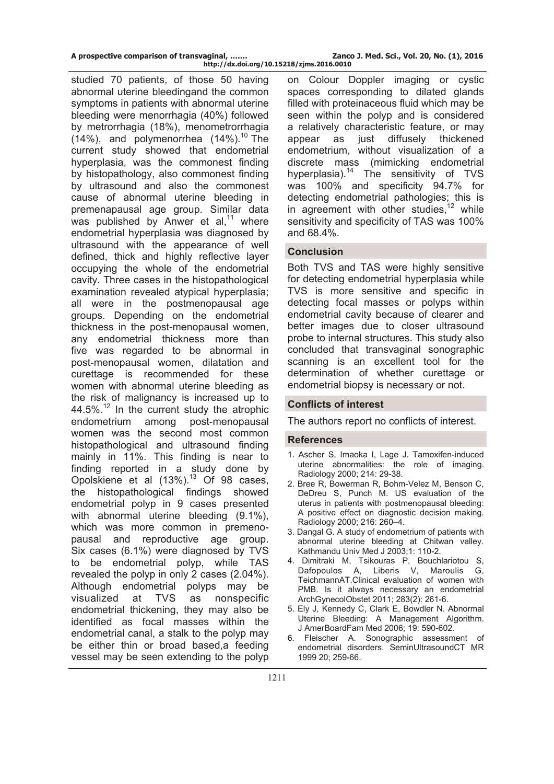| A prospective comparison of transvaginal, | Zanco J. Med. Sci., Vol. 20, No. (1), 2016 |
|-------------------------------------------|--------------------------------------------|
| http://dx.doi.org/10.15218/zjms.2016.0010 |                                            |

studied 70 patients, of those 50 having abnormal uterine bleedingand the common symptoms in patients with abnormal uterine bleeding were menorrhagia (40%) followed by metrorrhagia (18%), menometrorrhagia  $(14\%)$ , and polymenorrhea  $(14\%)$ <sup>10</sup> The current study showed that endometrial hyperplasia, was the commonest finding by histopathology, also commonest finding by ultrasound and also the commonest cause of abnormal uterine bleeding in premenapausal age group. Similar data was published by Anwer et al, $11$  where endometrial hyperplasia was diagnosed by ultrasound with the appearance of well defined, thick and highly reflective layer occupying the whole of the endometrial cavity. Three cases in the histopathological examination revealed atypical hyperplasia; all were in the postmenopausal age groups. Depending on the endometrial thickness in the post-menopausal women, any endometrial thickness more than five was regarded to be abnormal in post-menopausal women, dilatation and curettage is recommended for these women with abnormal uterine bleeding as the risk of malignancy is increased up to 44.5%.<sup>12</sup> In the current study the atrophic endometrium among post-menopausal women was the second most common histopathological and ultrasound finding mainly in 11%. This finding is near to finding reported in a study done by Opolskiene et al (13%).<sup>13</sup> Of 98 cases, the histopathological findings showed endometrial polyp in 9 cases presented with abnormal uterine bleeding (9.1%), which was more common in premenopausal and reproductive age group. Six cases (6.1%) were diagnosed by TVS to be endometrial polyp, while TAS revealed the polyp in only 2 cases (2.04%). Although endometrial polyps may be visualized at TVS as nonspecific endometrial thickening, they may also be identified as focal masses within the endometrial canal, a stalk to the polyp may be either thin or broad based,a feeding vessel may be seen extending to the polyp

on Colour Doppler imaging or cystic spaces corresponding to dilated glands filled with proteinaceous fluid which may be seen within the polyp and is considered a relatively characteristic feature, or may appear as just diffusely thickened endometrium, without visualization of a discrete mass (mimicking endometrial hyperplasia).<sup>14</sup> The sensitivity of TVS was 100% and specificity 94.7% for detecting endometrial pathologies; this is in agreement with other studies,  $12$  while sensitivity and specificity of TAS was 100% and 68.4%.

## **Conclusion**

Both TVS and TAS were highly sensitive for detecting endometrial hyperplasia while TVS is more sensitive and specific in detecting focal masses or polyps within endometrial cavity because of clearer and better images due to closer ultrasound probe to internal structures. This study also concluded that transvaginal sonographic scanning is an excellent tool for the determination of whether curettage or endometrial biopsy is necessary or not.

### **Conflicts of interest**

The authors report no conflicts of interest.

### **References**

- 1. Ascher S, Imaoka I, Lage J. Tamoxifen-induced uterine abnormalities: the role of imaging. Radiology 2000; 214: 29-38.
- 2. Bree R, Bowerman R, Bohm-Velez M, Benson C, DeDreu S, Punch M. US evaluation of the uterus in patients with postmenopausal bleeding: A positive effect on diagnostic decision making. Radiology 2000; 216: 260–4.
- 3. Dangal G. A study of endometrium of patients with abnormal uterine bleeding at Chitwan valley. Kathmandu Univ Med J 2003;1: 110-2.
- 4. [Dimitraki M, Tsikouras P, Bouchlariotou S,](http://www.ncbi.nlm.nih.gov/entrez/query.fcgi?cmd=Retrieve&db=PubMed&dopt=Abstract&list_uids=20683604)  [Dafopoulos A, Liberis V, Maroulis G,](http://www.ncbi.nlm.nih.gov/entrez/query.fcgi?cmd=Retrieve&db=PubMed&dopt=Abstract&list_uids=20683604)  [TeichmannAT.](http://www.ncbi.nlm.nih.gov/entrez/query.fcgi?cmd=Retrieve&db=PubMed&dopt=Abstract&list_uids=20683604)Clinical evaluation of women with PMB. Is it always necessary an endometrial ArchGynecolObstet 2011; 283(2): 261-6.
- 5. Ely J, Kennedy C, Clark E, Bowdler N. Abnormal Uterine Bleeding: A Management Algorithm. J AmerBoardFam Med 2006; 19: 590-602.
- 6. Fleischer A. Sonographic assessment of endometrial disorders. SeminUltrasoundCT MR 1999 20; 259-66.